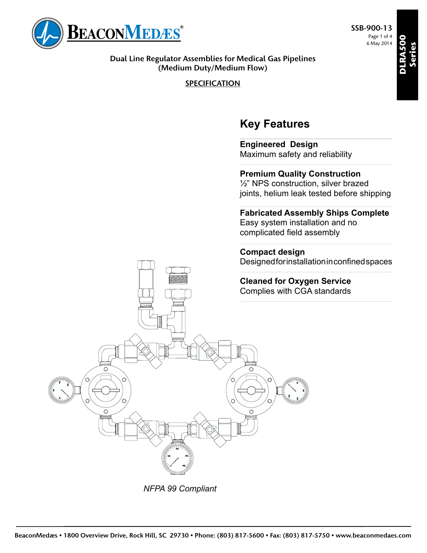

**Dual Line Regulator Assemblies for Medical Gas Pipelines (Medium Duty/Medium Flow)**

**SPECIFICATION**

# **Key Features**

**Engineered Design** Maximum safety and reliability

**Premium Quality Construction** ½" NPS construction, silver brazed joints, helium leak tested before shipping

**Fabricated Assembly Ships Complete** Easy system installation and no complicated field assembly

**Compact design** Designed for installation in confined spaces





*NFPA 99 Compliant*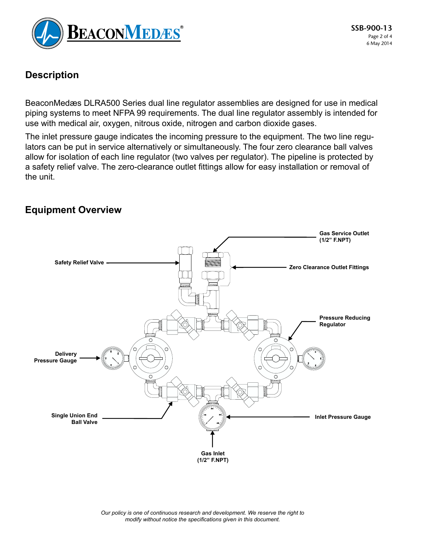

### **Description**

BeaconMedæs DLRA500 Series dual line regulator assemblies are designed for use in medical piping systems to meet NFPA 99 requirements. The dual line regulator assembly is intended for use with medical air, oxygen, nitrous oxide, nitrogen and carbon dioxide gases.

The inlet pressure gauge indicates the incoming pressure to the equipment. The two line regulators can be put in service alternatively or simultaneously. The four zero clearance ball valves allow for isolation of each line regulator (two valves per regulator). The pipeline is protected by a safety relief valve. The zero-clearance outlet fittings allow for easy installation or removal of the unit.

#### **Equipment Overview**



*Our policy is one of continuous research and development. We reserve the right to modify without notice the specifications given in this document.*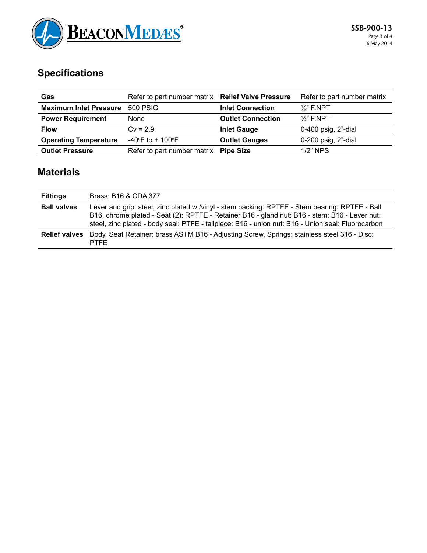

# **Specifications**

| Gas                           | Refer to part number matrix Relief Valve Pressure |                          | Refer to part number matrix |
|-------------------------------|---------------------------------------------------|--------------------------|-----------------------------|
| <b>Maximum Inlet Pressure</b> | <b>500 PSIG</b>                                   | <b>Inlet Connection</b>  | $\frac{1}{2}$ " F.NPT       |
| <b>Power Requirement</b>      | <b>None</b>                                       | <b>Outlet Connection</b> | $\frac{1}{2}$ " F.NPT       |
| <b>Flow</b>                   | $Cv = 2.9$                                        | <b>Inlet Gauge</b>       | 0-400 psig, 2"-dial         |
| <b>Operating Temperature</b>  | $-40^{\circ}$ F to + 100 $^{\circ}$ F             | <b>Outlet Gauges</b>     | $0-200$ psig, $2"$ -dial    |
| <b>Outlet Pressure</b>        | Refer to part number matrix                       | <b>Pipe Size</b>         | $1/2$ " NPS                 |

## **Materials**

| <b>Fittings</b>      | Brass: B16 & CDA 377                                                                                                                                                                                                                                                                                  |
|----------------------|-------------------------------------------------------------------------------------------------------------------------------------------------------------------------------------------------------------------------------------------------------------------------------------------------------|
| <b>Ball valves</b>   | Lever and grip: steel, zinc plated w /vinyl - stem packing: RPTFE - Stem bearing: RPTFE - Ball:<br>B16, chrome plated - Seat (2): RPTFE - Retainer B16 - gland nut: B16 - stem: B16 - Lever nut:<br>steel, zinc plated - body seal: PTFE - tailpiece: B16 - union nut: B16 - Union seal: Fluorocarbon |
| <b>Relief valves</b> | Body, Seat Retainer: brass ASTM B16 - Adjusting Screw, Springs: stainless steel 316 - Disc:<br><b>PTFF</b>                                                                                                                                                                                            |